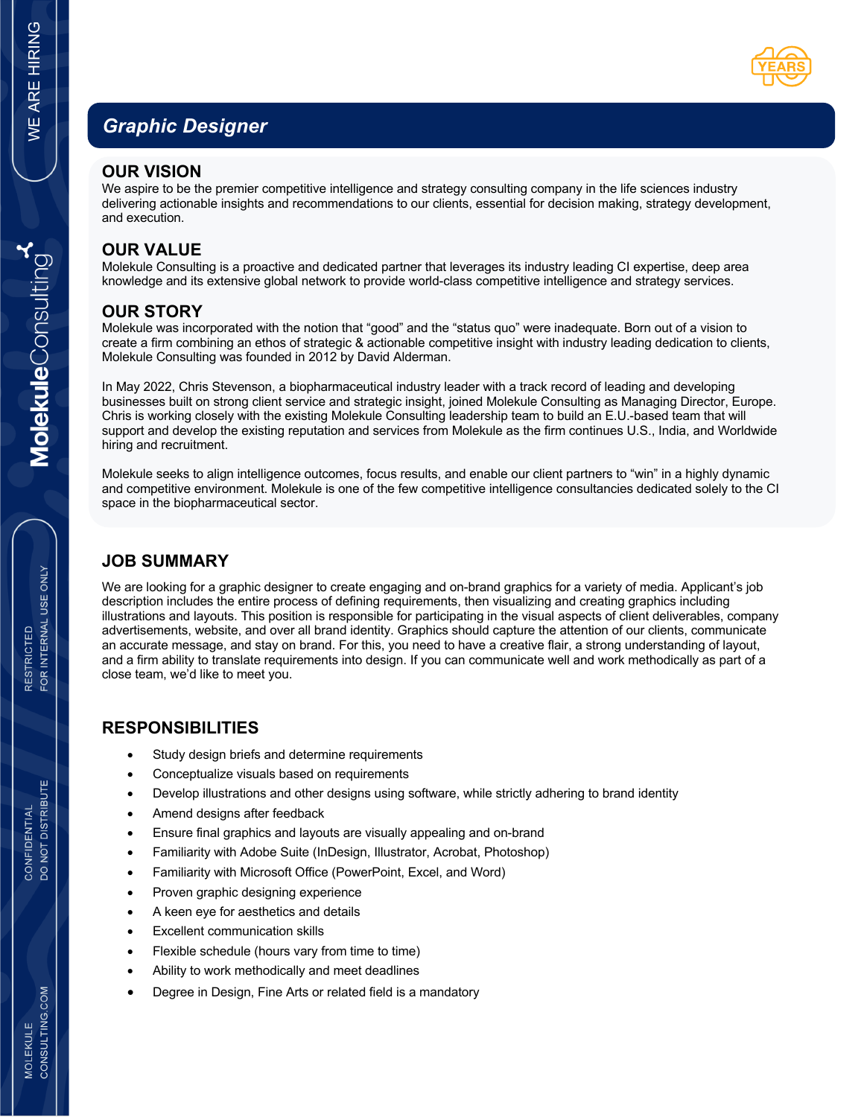# *Graphic Designer*

#### **OUR VISION**

We aspire to be the premier competitive intelligence and strategy consulting company in the life sciences industry delivering actionable insights and recommendations to our clients, essential for decision making, strategy development, and execution.

## **OUR VALUE**

Molekule Consulting is a proactive and dedicated partner that leverages its industry leading CI expertise, deep area knowledge and its extensive global network to provide world-class competitive intelligence and strategy services.

## **OUR STORY**

Molekule was incorporated with the notion that "good" and the "status quo" were inadequate. Born out of a vision to create a firm combining an ethos of strategic & actionable competitive insight with industry leading dedication to clients, Molekule Consulting was founded in 2012 by David Alderman.

In May 2022, Chris Stevenson, a biopharmaceutical industry leader with a track record of leading and developing businesses built on strong client service and strategic insight, joined Molekule Consulting as Managing Director, Europe. Chris is working closely with the existing Molekule Consulting leadership team to build an E.U.-based team that will support and develop the existing reputation and services from Molekule as the firm continues U.S., India, and Worldwide hiring and recruitment.

Molekule seeks to align intelligence outcomes, focus results, and enable our client partners to "win" in a highly dynamic and competitive environment. Molekule is one of the few competitive intelligence consultancies dedicated solely to the CI space in the biopharmaceutical sector.

#### **JOB SUMMARY**

We are looking for a graphic designer to create engaging and on-brand graphics for a variety of media. Applicant's job description includes the entire process of defining requirements, then visualizing and creating graphics including illustrations and layouts. This position is responsible for participating in the visual aspects of client deliverables, company advertisements, website, and over all brand identity. Graphics should capture the attention of our clients, communicate an accurate message, and stay on brand. For this, you need to have a creative flair, a strong understanding of layout, and a firm ability to translate requirements into design. If you can communicate well and work methodically as part of a close team, we'd like to meet you.

#### **RESPONSIBILITIES**

- Study design briefs and determine requirements
- Conceptualize visuals based on requirements
- Develop illustrations and other designs using software, while strictly adhering to brand identity
- Amend designs after feedback
- Ensure final graphics and layouts are visually appealing and on-brand
- Familiarity with Adobe Suite (InDesign, Illustrator, Acrobat, Photoshop)
- Familiarity with Microsoft Office (PowerPoint, Excel, and Word)
- Proven graphic designing experience
- A keen eye for aesthetics and details
- Excellent communication skills
- Flexible schedule (hours vary from time to time)
- Ability to work methodically and meet deadlines
- Degree in Design, Fine Arts or related field is a mandatory

DO NOT DISTRIBUTE CONFIDENTIAL